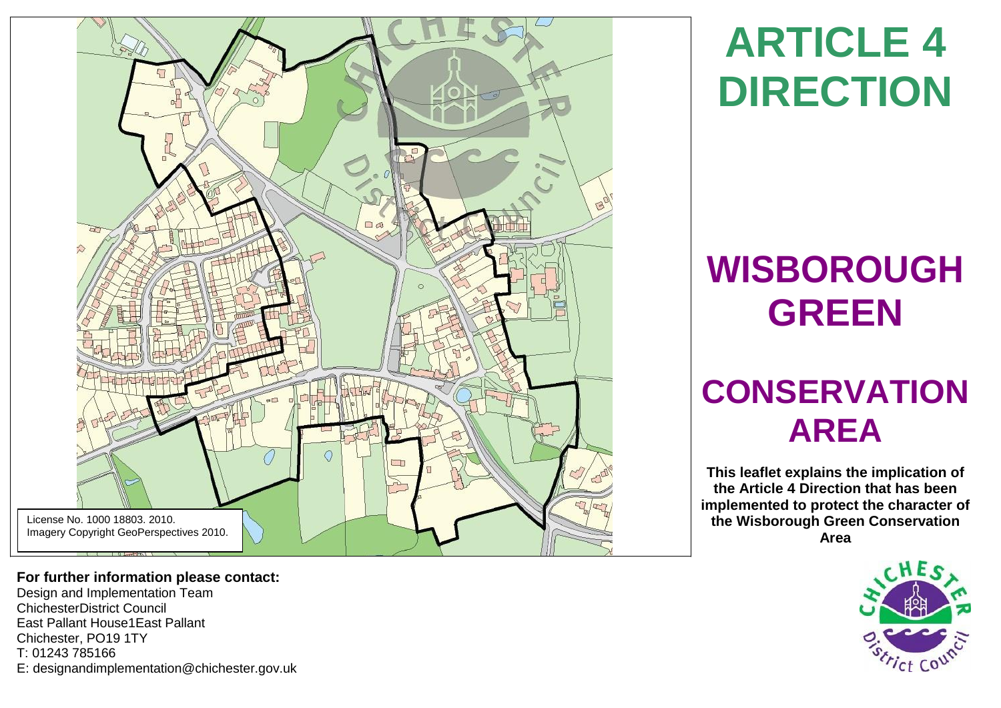

**For further information please contact:** 

Design and Implementation Team ChichesterDistrict Council East Pallant House1East Pallant Chichester, PO19 1TY T: 01243 785166 E: [designandimplementation@chichester.gov.uk](mailto:designandimplementation@chichester.gov.uk)

**ARTICLE 4 DIRECTION**

# **WISBOROUGH GREEN**

# **CONSERVATION AREA**

**This leaflet explains the implication of the Article 4 Direction that has been implemented to protect the character of the Wisborough Green Conservation Area**